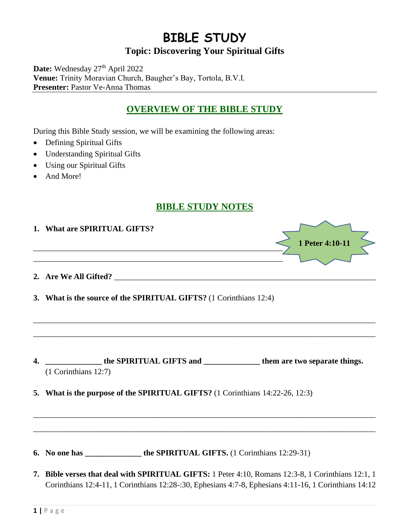# **BIBLE STUDY Topic: Discovering Your Spiritual Gifts**

Date: Wednesday 27<sup>th</sup> April 2022 **Venue:** Trinity Moravian Church, Baugher's Bay, Tortola, B.V.I. **Presenter:** Pastor Ve-Anna Thomas

## **OVERVIEW OF THE BIBLE STUDY**

During this Bible Study session, we will be examining the following areas:

- Defining Spiritual Gifts
- Understanding Spiritual Gifts
- Using our Spiritual Gifts
- And More!

## **BIBLE STUDY NOTES**

|    | 1. What are SPIRITUAL GIFTS?<br>1 Peter 4:10-11<br><u> 1989 - Johann Barn, mars ann an t-Amhain ann an t-Amhain an t-Amhain an t-Amhain an t-Amhain an t-Amhain an t-</u>                                   |
|----|-------------------------------------------------------------------------------------------------------------------------------------------------------------------------------------------------------------|
|    |                                                                                                                                                                                                             |
|    | 3. What is the source of the SPIRITUAL GIFTS? (1 Corinthians 12:4)                                                                                                                                          |
| 4. | _________________ the SPIRITUAL GIFTS and __________________ them are two separate things.<br>$(1$ Corinthians $12:7)$                                                                                      |
|    | 5. What is the purpose of the SPIRITUAL GIFTS? (1 Corinthians 14:22-26, 12:3)                                                                                                                               |
|    | 6. No one has __________________the SPIRITUAL GIFTS. (1 Corinthians 12:29-31)                                                                                                                               |
|    | 7. Bible verses that deal with SPIRITUAL GIFTS: 1 Peter 4:10, Romans 12:3-8, 1 Corinthians 12:1, 1<br>Corinthians 12:4-11, 1 Corinthians 12:28-:30, Ephesians 4:7-8, Ephesians 4:11-16, 1 Corinthians 14:12 |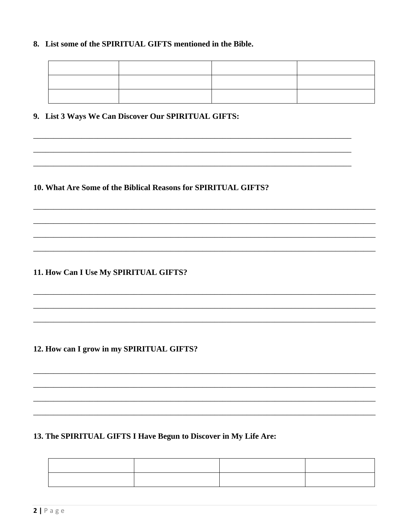## 8. List some of the SPIRITUAL GIFTS mentioned in the Bible.

9. List 3 Ways We Can Discover Our SPIRITUAL GIFTS:

10. What Are Some of the Biblical Reasons for SPIRITUAL GIFTS?

11. How Can I Use My SPIRITUAL GIFTS?

12. How can I grow in my SPIRITUAL GIFTS?

### 13. The SPIRITUAL GIFTS I Have Begun to Discover in My Life Are: